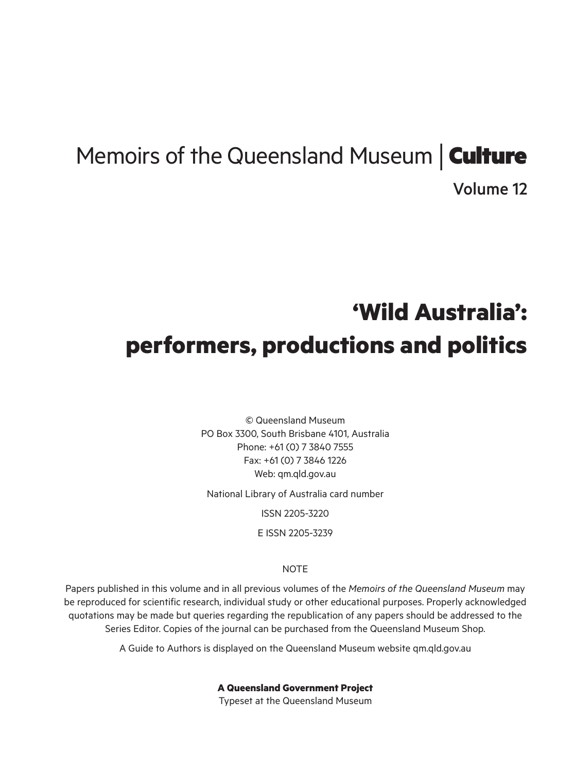# Memoirs of the Queensland Museum | **Culture**

Volume 12

# **'Wild Australia': performers, productions and politics**

© Queensland Museum PO Box 3300, South Brisbane 4101, Australia Phone: +61 (0) 7 3840 7555 Fax: +61 (0) 7 3846 1226 Web: qm.qld.gov.au

National Library of Australia card number

ISSN 2205-3220

E ISSN 2205-3239

### **NOTE**

Papers published in this volume and in all previous volumes of the *Memoirs of the Queensland Museum* may be reproduced for scientific research, individual study or other educational purposes. Properly acknowledged quotations may be made but queries regarding the republication of any papers should be addressed to the Series Editor. Copies of the journal can be purchased from the Queensland Museum Shop.

A Guide to Authors is displayed on the Queensland Museum website qm.qld.gov.au

**A Queensland Government Project**

Typeset at the Queensland Museum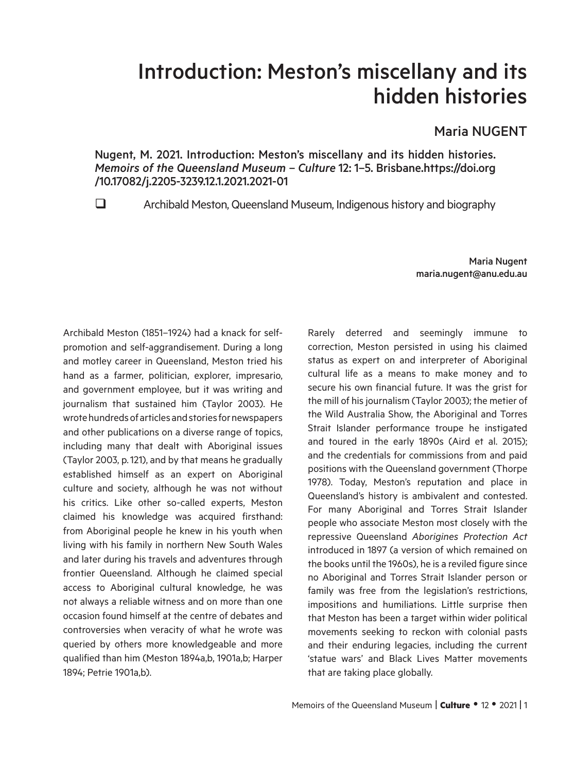# Introduction: Meston's miscellany and its hidden histories

# Maria NUGENT

Nugent, M. 2021. Introduction: Meston's miscellany and its hidden histories. *Memoirs of the Queensland Museum* – *Culture* 12: 1–5. Brisbane.https://doi.org /10.17082/j.2205-3239.12.1.2021.2021-01

Archibald Meston, Queensland Museum, Indigenous history and biography

Maria Nugent maria.nugent@anu.edu.au

Archibald Meston (1851–1924) had a knack for selfpromotion and self-aggrandisement. During a long and motley career in Queensland, Meston tried his hand as a farmer, politician, explorer, impresario, and government employee, but it was writing and journalism that sustained him (Taylor 2003). He wrote hundreds of articles and stories for newspapers and other publications on a diverse range of topics, including many that dealt with Aboriginal issues (Taylor 2003, p.121), and by that means he gradually established himself as an expert on Aboriginal culture and society, although he was not without his critics. Like other so-called experts, Meston claimed his knowledge was acquired firsthand: from Aboriginal people he knew in his youth when living with his family in northern New South Wales and later during his travels and adventures through frontier Queensland. Although he claimed special access to Aboriginal cultural knowledge, he was not always a reliable witness and on more than one occasion found himself at the centre of debates and controversies when veracity of what he wrote was queried by others more knowledgeable and more qualified than him (Meston 1894a,b, 1901a,b; Harper 1894; Petrie 1901a,b).

Rarely deterred and seemingly immune to correction, Meston persisted in using his claimed status as expert on and interpreter of Aboriginal cultural life as a means to make money and to secure his own financial future. It was the grist for the mill of his journalism (Taylor 2003); the metier of the Wild Australia Show, the Aboriginal and Torres Strait Islander performance troupe he instigated and toured in the early 1890s (Aird et al. 2015); and the credentials for commissions from and paid positions with the Queensland government (Thorpe 1978). Today, Meston's reputation and place in Queensland's history is ambivalent and contested. For many Aboriginal and Torres Strait Islander people who associate Meston most closely with the repressive Queensland *Aborigines Protection Act*  introduced in 1897 (a version of which remained on the books until the 1960s), he is a reviled figure since no Aboriginal and Torres Strait Islander person or family was free from the legislation's restrictions, impositions and humiliations. Little surprise then that Meston has been a target within wider political movements seeking to reckon with colonial pasts and their enduring legacies, including the current 'statue wars' and Black Lives Matter movements that are taking place globally.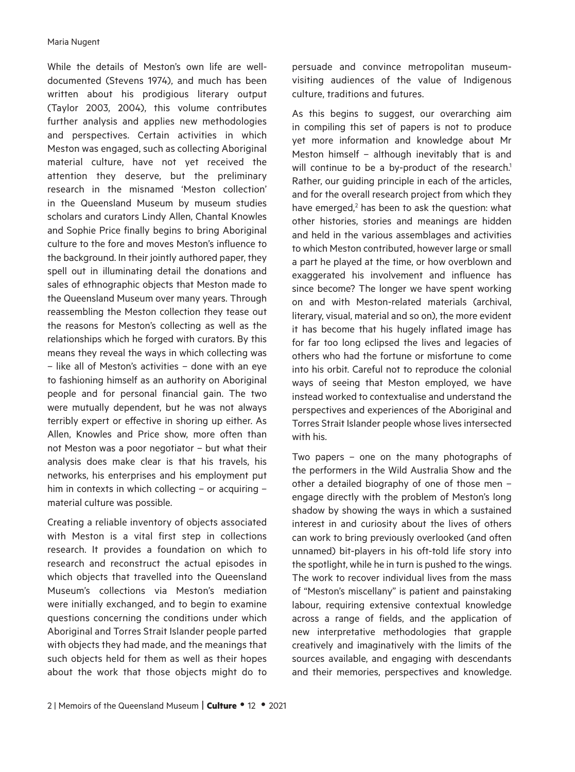While the details of Meston's own life are welldocumented (Stevens 1974), and much has been written about his prodigious literary output (Taylor 2003, 2004), this volume contributes further analysis and applies new methodologies and perspectives. Certain activities in which Meston was engaged, such as collecting Aboriginal material culture, have not yet received the attention they deserve, but the preliminary research in the misnamed 'Meston collection' in the Queensland Museum by museum studies scholars and curators Lindy Allen, Chantal Knowles and Sophie Price finally begins to bring Aboriginal culture to the fore and moves Meston's influence to the background. In their jointly authored paper, they spell out in illuminating detail the donations and sales of ethnographic objects that Meston made to the Queensland Museum over many years. Through reassembling the Meston collection they tease out the reasons for Meston's collecting as well as the relationships which he forged with curators. By this means they reveal the ways in which collecting was – like all of Meston's activities – done with an eye to fashioning himself as an authority on Aboriginal people and for personal financial gain. The two were mutually dependent, but he was not always terribly expert or effective in shoring up either. As Allen, Knowles and Price show, more often than not Meston was a poor negotiator – but what their analysis does make clear is that his travels, his networks, his enterprises and his employment put him in contexts in which collecting – or acquiring – material culture was possible.

Creating a reliable inventory of objects associated with Meston is a vital first step in collections research. It provides a foundation on which to research and reconstruct the actual episodes in which objects that travelled into the Queensland Museum's collections via Meston's mediation were initially exchanged, and to begin to examine questions concerning the conditions under which Aboriginal and Torres Strait Islander people parted with objects they had made, and the meanings that such objects held for them as well as their hopes about the work that those objects might do to

2 | Memoirs of the Queensland Museum | **Culture** • 12 • 2021

persuade and convince metropolitan museumvisiting audiences of the value of Indigenous culture, traditions and futures.

As this begins to suggest, our overarching aim in compiling this set of papers is not to produce yet more information and knowledge about Mr Meston himself – although inevitably that is and will continue to be a by-product of the research.<sup>1</sup> Rather, our guiding principle in each of the articles, and for the overall research project from which they have emerged,<sup>2</sup> has been to ask the question: what other histories, stories and meanings are hidden and held in the various assemblages and activities to which Meston contributed, however large or small a part he played at the time, or how overblown and exaggerated his involvement and influence has since become? The longer we have spent working on and with Meston-related materials (archival, literary, visual, material and so on), the more evident it has become that his hugely inflated image has for far too long eclipsed the lives and legacies of others who had the fortune or misfortune to come into his orbit. Careful not to reproduce the colonial ways of seeing that Meston employed, we have instead worked to contextualise and understand the perspectives and experiences of the Aboriginal and Torres Strait Islander people whose lives intersected with his.

Two papers – one on the many photographs of the performers in the Wild Australia Show and the other a detailed biography of one of those men – engage directly with the problem of Meston's long shadow by showing the ways in which a sustained interest in and curiosity about the lives of others can work to bring previously overlooked (and often unnamed) bit-players in his oft-told life story into the spotlight, while he in turn is pushed to the wings. The work to recover individual lives from the mass of "Meston's miscellany" is patient and painstaking labour, requiring extensive contextual knowledge across a range of fields, and the application of new interpretative methodologies that grapple creatively and imaginatively with the limits of the sources available, and engaging with descendants and their memories, perspectives and knowledge.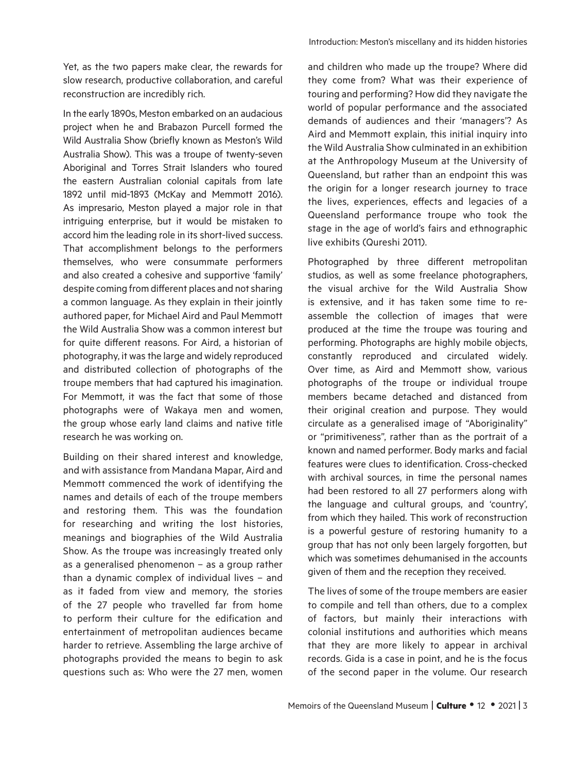Yet, as the two papers make clear, the rewards for slow research, productive collaboration, and careful reconstruction are incredibly rich.

In the early 1890s, Meston embarked on an audacious project when he and Brabazon Purcell formed the Wild Australia Show (briefly known as Meston's Wild Australia Show). This was a troupe of twenty-seven Aboriginal and Torres Strait Islanders who toured the eastern Australian colonial capitals from late 1892 until mid-1893 (McKay and Memmott 2016). As impresario, Meston played a major role in that intriguing enterprise, but it would be mistaken to accord him the leading role in its short-lived success. That accomplishment belongs to the performers themselves, who were consummate performers and also created a cohesive and supportive 'family' despite coming from different places and not sharing a common language. As they explain in their jointly authored paper, for Michael Aird and Paul Memmott the Wild Australia Show was a common interest but for quite different reasons. For Aird, a historian of photography, it was the large and widely reproduced and distributed collection of photographs of the troupe members that had captured his imagination. For Memmott, it was the fact that some of those photographs were of Wakaya men and women, the group whose early land claims and native title research he was working on.

Building on their shared interest and knowledge, and with assistance from Mandana Mapar, Aird and Memmott commenced the work of identifying the names and details of each of the troupe members and restoring them. This was the foundation for researching and writing the lost histories, meanings and biographies of the Wild Australia Show. As the troupe was increasingly treated only as a generalised phenomenon – as a group rather than a dynamic complex of individual lives – and as it faded from view and memory, the stories of the 27 people who travelled far from home to perform their culture for the edification and entertainment of metropolitan audiences became harder to retrieve. Assembling the large archive of photographs provided the means to begin to ask questions such as: Who were the 27 men, women

and children who made up the troupe? Where did they come from? What was their experience of touring and performing? How did they navigate the world of popular performance and the associated demands of audiences and their 'managers'? As Aird and Memmott explain, this initial inquiry into the Wild Australia Show culminated in an exhibition at the Anthropology Museum at the University of Queensland, but rather than an endpoint this was the origin for a longer research journey to trace the lives, experiences, effects and legacies of a Queensland performance troupe who took the stage in the age of world's fairs and ethnographic live exhibits (Qureshi 2011).

Photographed by three different metropolitan studios, as well as some freelance photographers, the visual archive for the Wild Australia Show is extensive, and it has taken some time to reassemble the collection of images that were produced at the time the troupe was touring and performing. Photographs are highly mobile objects, constantly reproduced and circulated widely. Over time, as Aird and Memmott show, various photographs of the troupe or individual troupe members became detached and distanced from their original creation and purpose. They would circulate as a generalised image of "Aboriginality" or "primitiveness", rather than as the portrait of a known and named performer. Body marks and facial features were clues to identification. Cross-checked with archival sources, in time the personal names had been restored to all 27 performers along with the language and cultural groups, and 'country', from which they hailed. This work of reconstruction is a powerful gesture of restoring humanity to a group that has not only been largely forgotten, but which was sometimes dehumanised in the accounts given of them and the reception they received.

The lives of some of the troupe members are easier to compile and tell than others, due to a complex of factors, but mainly their interactions with colonial institutions and authorities which means that they are more likely to appear in archival records. Gida is a case in point, and he is the focus of the second paper in the volume. Our research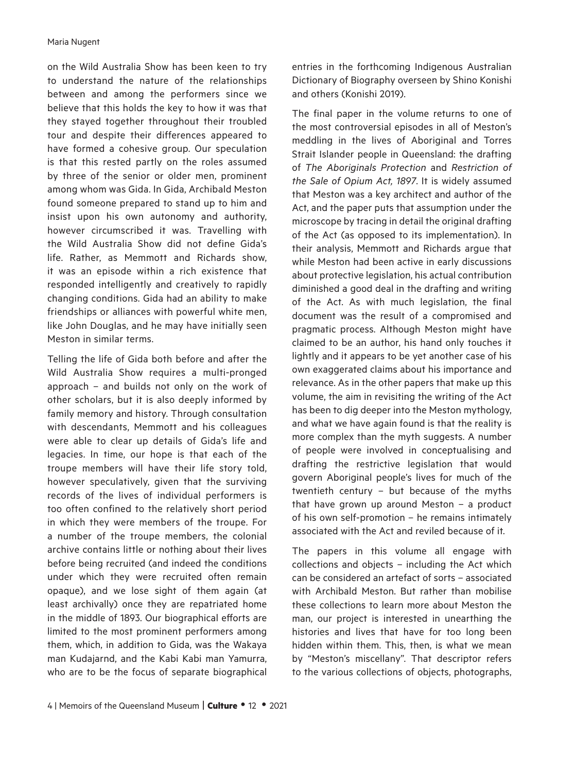#### Maria Nugent

on the Wild Australia Show has been keen to try to understand the nature of the relationships between and among the performers since we believe that this holds the key to how it was that they stayed together throughout their troubled tour and despite their differences appeared to have formed a cohesive group. Our speculation is that this rested partly on the roles assumed by three of the senior or older men, prominent among whom was Gida. In Gida, Archibald Meston found someone prepared to stand up to him and insist upon his own autonomy and authority, however circumscribed it was. Travelling with the Wild Australia Show did not define Gida's life. Rather, as Memmott and Richards show, it was an episode within a rich existence that responded intelligently and creatively to rapidly changing conditions. Gida had an ability to make friendships or alliances with powerful white men, like John Douglas, and he may have initially seen Meston in similar terms.

Telling the life of Gida both before and after the Wild Australia Show requires a multi-pronged approach – and builds not only on the work of other scholars, but it is also deeply informed by family memory and history. Through consultation with descendants, Memmott and his colleagues were able to clear up details of Gida's life and legacies. In time, our hope is that each of the troupe members will have their life story told, however speculatively, given that the surviving records of the lives of individual performers is too often confined to the relatively short period in which they were members of the troupe. For a number of the troupe members, the colonial archive contains little or nothing about their lives before being recruited (and indeed the conditions under which they were recruited often remain opaque), and we lose sight of them again (at least archivally) once they are repatriated home in the middle of 1893. Our biographical efforts are limited to the most prominent performers among them, which, in addition to Gida, was the Wakaya man Kudajarnd, and the Kabi Kabi man Yamurra, who are to be the focus of separate biographical

of people were involved in conceptualising and

drafting the restrictive legislation that would govern Aboriginal people's lives for much of the twentieth century – but because of the myths that have grown up around Meston – a product of his own self-promotion – he remains intimately associated with the Act and reviled because of it.

The papers in this volume all engage with collections and objects – including the Act which can be considered an artefact of sorts – associated with Archibald Meston. But rather than mobilise these collections to learn more about Meston the man, our project is interested in unearthing the histories and lives that have for too long been hidden within them. This, then, is what we mean by "Meston's miscellany". That descriptor refers to the various collections of objects, photographs,

entries in the forthcoming Indigenous Australian Dictionary of Biography overseen by Shino Konishi and others (Konishi 2019).

The final paper in the volume returns to one of the most controversial episodes in all of Meston's meddling in the lives of Aboriginal and Torres Strait Islander people in Queensland: the drafting of *The Aboriginals Protection* and *Restriction of the Sale of Opium Act, 1897*. It is widely assumed that Meston was a key architect and author of the Act, and the paper puts that assumption under the microscope by tracing in detail the original drafting of the Act (as opposed to its implementation). In their analysis, Memmott and Richards argue that while Meston had been active in early discussions about protective legislation, his actual contribution diminished a good deal in the drafting and writing of the Act. As with much legislation, the final document was the result of a compromised and pragmatic process. Although Meston might have claimed to be an author, his hand only touches it lightly and it appears to be yet another case of his own exaggerated claims about his importance and relevance. As in the other papers that make up this volume, the aim in revisiting the writing of the Act has been to dig deeper into the Meston mythology, and what we have again found is that the reality is more complex than the myth suggests. A number